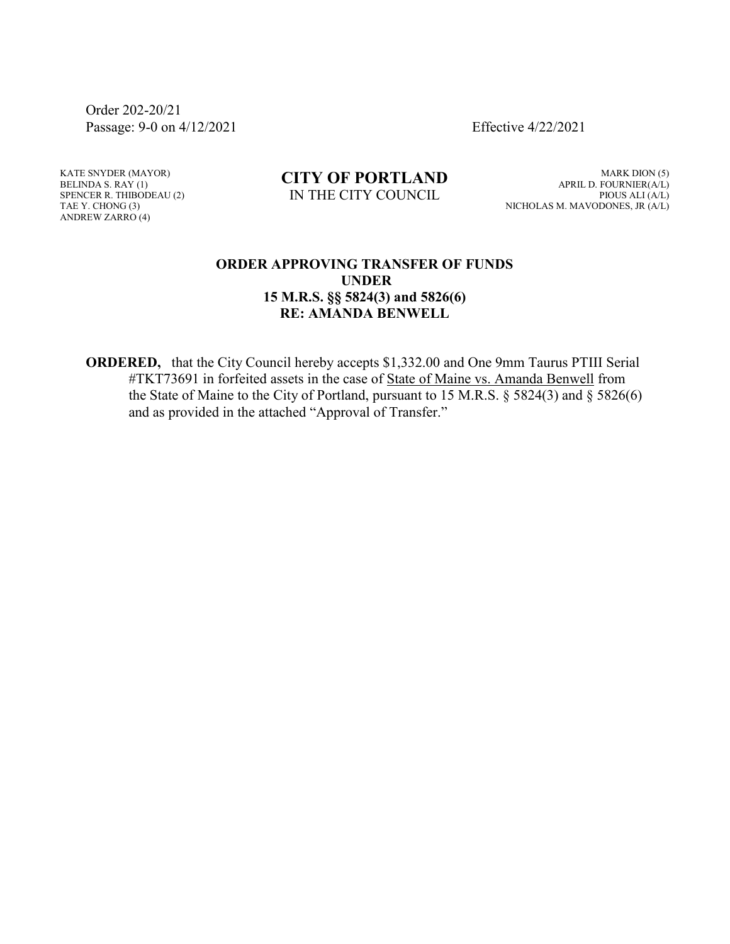Order 202-20/21 Passage: 9-0 on 4/12/2021 Effective 4/22/2021

KATE SNYDER (MAYOR) BELINDA S. RAY (1) SPENCER R. THIBODEAU (2) TAE Y. CHONG (3) ANDREW ZARRO (4)

## **CITY OF PORTLAND** IN THE CITY COUNCIL

MARK DION (5) APRIL D. FOURNIER(A/L) PIOUS ALI (A/L) NICHOLAS M. MAVODONES, JR (A/L)

## **ORDER APPROVING TRANSFER OF FUNDS UNDER 15 M.R.S. §§ 5824(3) and 5826(6) RE: AMANDA BENWELL**

**ORDERED,** that the City Council hereby accepts \$1,332.00 and One 9mm Taurus PTIII Serial #TKT73691 in forfeited assets in the case of State of Maine vs. Amanda Benwell from the State of Maine to the City of Portland, pursuant to 15 M.R.S. § 5824(3) and § 5826(6) and as provided in the attached "Approval of Transfer."